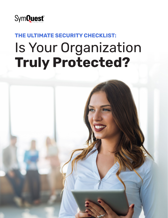

**THE ULTIMATE SECURITY CHECKLIST:**

# Is Your Organization **Truly Protected?**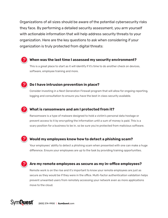Organizations of all sizes should be aware of the potential cybersecurity risks they face. By performing a detailed security assessment, you arm yourself with actionable information that will help address security threats to your organization. Here are the key questions to ask when considering if your organization is truly protected from digital threats:



#### **When was the last time I assessed my security environment?**

This is a great place to start as it will identify if it's time to do another check on devices, software, employee training and more.



#### **Do I have intrusion prevention in place?**

Consider investing in a Next Generation Firewall program that will allow for ongoing reporting, logging and consultation to ensure you have the best in class security available.

## **What is ransomware and am I protected from it?**

Ransomware is a type of malware designed to hold a victim's personal data hostage or prevent access to it by encrypting the information until a sum of money is paid. This is a scary position for a business to be in, so be sure you're protected from malicious software.

#### **Would my employees know how to detect a phishing scam?**

Your employees' ability to detect a phishing scam when presented with one can make a huge difference. Ensure your employees are up to the task by providing training opportunities.

### **Are my remote employees as secure as my in-office employees?**

Remote work is on the rise and it's important to know your remote employees are just as secure as they would be if they were in the office. Multi-factor authentication validation helps prevent unwanted users from remotely accessing your network even as more applications move to the cloud.